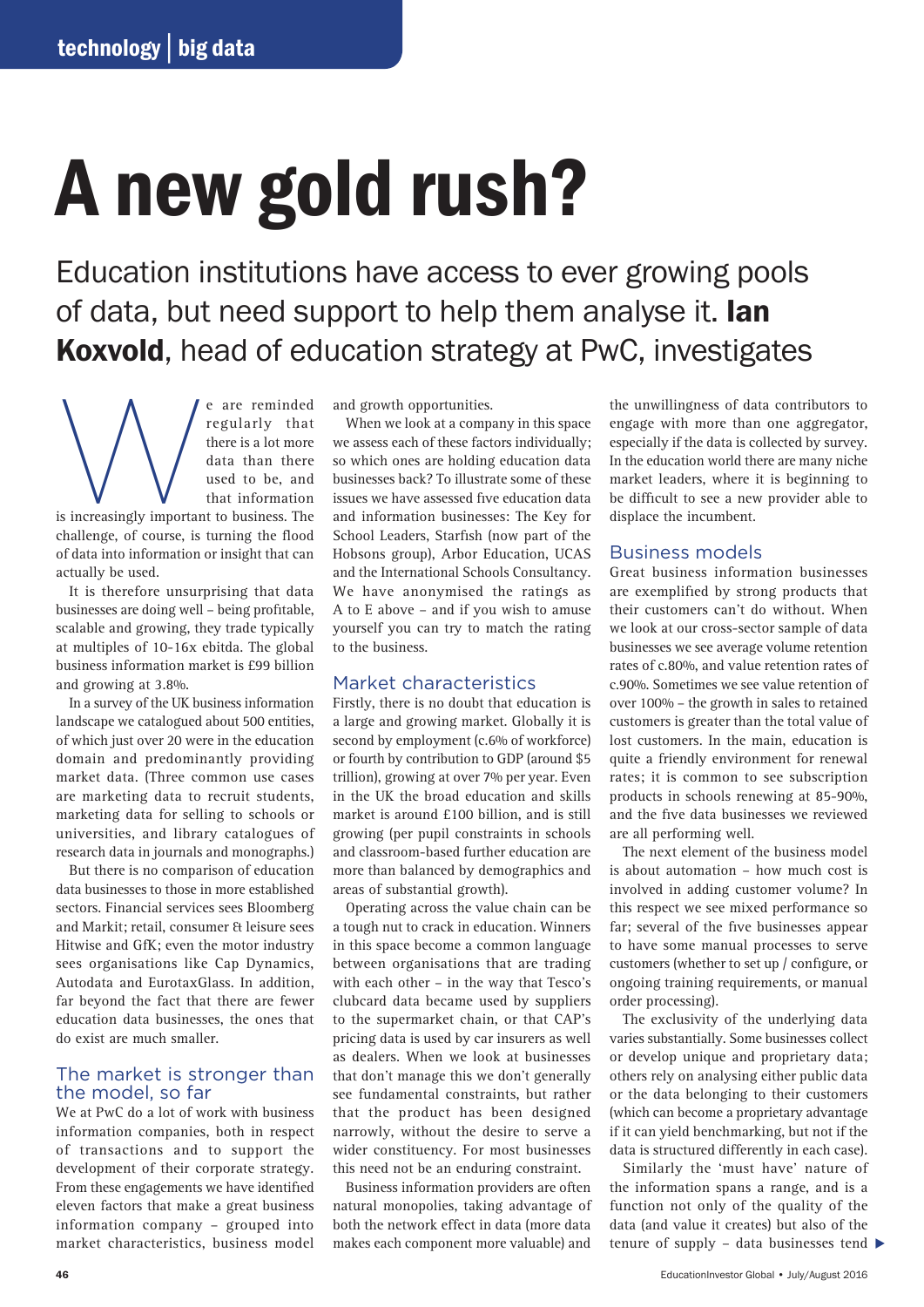# A new gold rush?

Education institutions have access to ever growing pools of data, but need support to help them analyse it. **Ian** Koxvold, head of education strategy at PwC, investigates

e are reminded regularly that there is a lot more data than there used to be, and that information is increasingly important to business. The regularly that there is a lot more data than there used to be, and that information challenge, of course, is turning the flood of data into information or insight that can

actually be used. It is therefore unsurprising that data businesses are doing well – being profitable, scalable and growing, they trade typically at multiples of 10-16x ebitda. The global business information market is £99 billion and growing at 3.8%.

In a survey of the UK business information landscape we catalogued about 500 entities, of which just over 20 were in the education domain and predominantly providing market data. (Three common use cases are marketing data to recruit students, marketing data for selling to schools or universities, and library catalogues of research data in journals and monographs.)

But there is no comparison of education data businesses to those in more established sectors. Financial services sees Bloomberg and Markit; retail, consumer & leisure sees Hitwise and GfK; even the motor industry sees organisations like Cap Dynamics, Autodata and EurotaxGlass. In addition, far beyond the fact that there are fewer education data businesses, the ones that do exist are much smaller.

## The market is stronger than the model, so far

We at PwC do a lot of work with business information companies, both in respect of transactions and to support the development of their corporate strategy. From these engagements we have identified eleven factors that make a great business information company – grouped into market characteristics, business model

and growth opportunities.

When we look at a company in this space we assess each of these factors individually; so which ones are holding education data businesses back? To illustrate some of these issues we have assessed five education data and information businesses: The Key for School Leaders, Starfish (now part of the Hobsons group), Arbor Education, UCAS and the International Schools Consultancy. We have anonymised the ratings as A to E above – and if you wish to amuse yourself you can try to match the rating to the business.

## Market characteristics

Firstly, there is no doubt that education is a large and growing market. Globally it is second by employment (c.6% of workforce) or fourth by contribution to GDP (around \$5 trillion), growing at over 7% per year. Even in the UK the broad education and skills market is around £100 billion, and is still growing (per pupil constraints in schools and classroom-based further education are more than balanced by demographics and areas of substantial growth).

Operating across the value chain can be a tough nut to crack in education. Winners in this space become a common language between organisations that are trading with each other – in the way that Tesco's clubcard data became used by suppliers to the supermarket chain, or that CAP's pricing data is used by car insurers as well as dealers. When we look at businesses that don't manage this we don't generally see fundamental constraints, but rather that the product has been designed narrowly, without the desire to serve a wider constituency. For most businesses this need not be an enduring constraint.

Business information providers are often natural monopolies, taking advantage of both the network effect in data (more data makes each component more valuable) and

the unwillingness of data contributors to engage with more than one aggregator, especially if the data is collected by survey. In the education world there are many niche market leaders, where it is beginning to be difficult to see a new provider able to displace the incumbent.

#### Business models

Great business information businesses are exemplified by strong products that their customers can't do without. When we look at our cross-sector sample of data businesses we see average volume retention rates of c.80%, and value retention rates of c.90%. Sometimes we see value retention of over 100% – the growth in sales to retained customers is greater than the total value of lost customers. In the main, education is quite a friendly environment for renewal rates; it is common to see subscription products in schools renewing at 85-90%, and the five data businesses we reviewed are all performing well.

The next element of the business model is about automation – how much cost is involved in adding customer volume? In this respect we see mixed performance so far; several of the five businesses appear to have some manual processes to serve customers (whether to set up / configure, or ongoing training requirements, or manual order processing).

The exclusivity of the underlying data varies substantially. Some businesses collect or develop unique and proprietary data; others rely on analysing either public data or the data belonging to their customers (which can become a proprietary advantage if it can yield benchmarking, but not if the data is structured differently in each case).

Similarly the 'must have' nature of the information spans a range, and is a function not only of the quality of the data (and value it creates) but also of the tenure of supply – data businesses tend ▶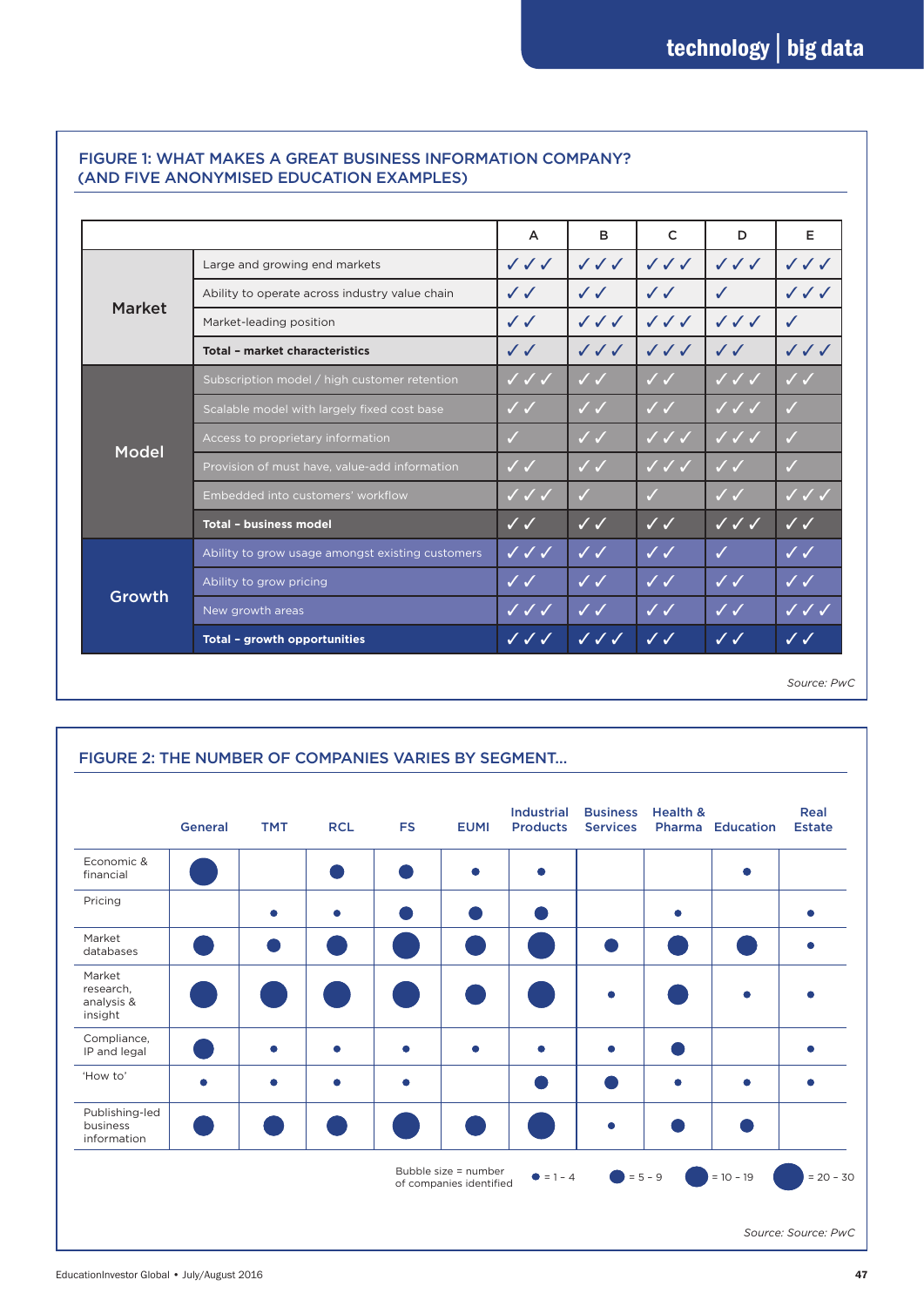| Growth        | New growth areas                                 | $\checkmark$ $\checkmark$ $\checkmark$ | $\sqrt{2}$                             | $\sqrt{\checkmark}$                    | $\checkmark$              | $\checkmark$                     |
|---------------|--------------------------------------------------|----------------------------------------|----------------------------------------|----------------------------------------|---------------------------|----------------------------------|
|               | Ability to grow pricing                          | $\checkmark$                           | $\checkmark$                           | $\checkmark$                           | $\checkmark$              | $\checkmark$                     |
|               | Ability to grow usage amongst existing customers | $\checkmark\checkmark\checkmark$       | $\checkmark$                           | $\checkmark$                           | J                         | $\checkmark$                     |
| <b>Model</b>  | <b>Total - business model</b>                    | $\checkmark$                           | $\checkmark$                           | $\checkmark$                           | $\checkmark$ $\checkmark$ | $\checkmark$                     |
|               | Embedded into customers' workflow                | $\checkmark$ $\checkmark$              | $\sqrt{}$                              |                                        | $\checkmark$              | $\checkmark$ $\checkmark$        |
|               | Provision of must have, value-add information    | $\checkmark$                           | $\checkmark$                           | $\sqrt{\sqrt{}}$                       | $\checkmark$              | $\checkmark$                     |
|               | Access to proprietary information                | $\checkmark$                           | $\checkmark$                           | $\checkmark$ $\checkmark$              | $\checkmark$ $\checkmark$ | $\checkmark$                     |
|               | Scalable model with largely fixed cost base      | $\checkmark$                           | $\checkmark$                           | $\checkmark$                           | $\checkmark$ $\checkmark$ | $\checkmark$                     |
|               | Subscription model / high customer retention     | $\checkmark$ $\checkmark$              | $\checkmark$                           | $\checkmark$                           | $\checkmark$ $\checkmark$ | $\checkmark$                     |
| <b>Market</b> | <b>Total - market characteristics</b>            | $\checkmark$                           | $\checkmark$                           | $\checkmark\checkmark\checkmark$       | $\checkmark$              | $\checkmark\checkmark\checkmark$ |
|               | Market-leading position                          | $\checkmark$                           | $\checkmark$ $\checkmark$              | $\checkmark$ $\checkmark$ $\checkmark$ | $\checkmark$              | $\checkmark$                     |
|               | Ability to operate across industry value chain   | $\checkmark$                           | $\checkmark$                           | $\checkmark$                           |                           | $\checkmark\checkmark\checkmark$ |
|               | Large and growing end markets                    | $\checkmark$ $\checkmark$              | $\checkmark$ $\checkmark$ $\checkmark$ | $\checkmark$                           | $\checkmark$              | $\checkmark$                     |
|               |                                                  | $\overline{A}$                         | B                                      | $\mathsf{C}$                           | D                         | Е                                |

## FIGURE 1: WHAT MAKES A GREAT BUSINESS INFORMATION COMPANY?

*Source: PwC*

|                                              | <b>General</b> | <b>TMT</b> | <b>RCL</b> | <b>FS</b> | <b>EUMI</b> | <b>Industrial</b><br><b>Products</b> | <b>Business</b><br><b>Services</b> | <b>Health &amp;</b> | <b>Pharma Education</b> | Real<br><b>Estate</b> |
|----------------------------------------------|----------------|------------|------------|-----------|-------------|--------------------------------------|------------------------------------|---------------------|-------------------------|-----------------------|
| Economic &<br>financial                      |                |            |            |           |             | C                                    |                                    |                     |                         |                       |
| Pricing                                      |                |            |            |           |             |                                      |                                    | ٠                   |                         |                       |
| Market<br>databases                          |                |            |            |           |             |                                      |                                    |                     |                         |                       |
| Market<br>research,<br>analysis &<br>insight |                |            |            |           |             |                                      | ۰                                  |                     |                         |                       |
| Compliance,<br>IP and legal                  |                |            |            |           |             |                                      |                                    |                     |                         |                       |
| 'How to'                                     | ٠              |            |            |           |             |                                      |                                    | ٠                   |                         |                       |
| Publishing-led<br>business<br>information    |                |            |            |           |             |                                      |                                    |                     |                         |                       |

*Source: Source: PwC*